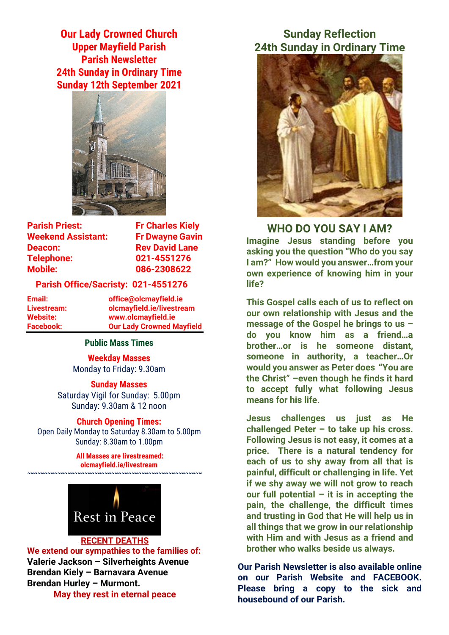**Our Lady Crowned Church Upper Mayfield Parish Parish Newsletter 24th Sunday in Ordinary Time Sunday 12th September 2021**



**Parish Priest:** Fr Charles Kiely **Weekend Assistant: Fr Dwayne Gavin Deacon:** Rev David Lane **Telephone: 021-4551276 Mobile: 086-2308622** 

### **Parish Office/Sacristy: 021-4551276**

**Email: office@olcmayfield.ie Livestream: olcmayfield.ie/livestream Website: www.olcmayfield.ie Facebook: Our Lady Crowned Mayfield**

### **Public Mass Times**

**Weekday Masses** Monday to Friday: 9.30am

**Sunday Masses** Saturday Vigil for Sunday: 5.00pm Sunday: 9.30am & 12 noon

### **Church Opening Times:**

Open Daily Monday to Saturday 8.30am to 5.00pm Sunday: 8.30am to 1.00pm

> **All Masses are livestreamed: olcmayfield.ie/livestream**



**~~~~~~~~~~~~~~~~~~~~~~~~~~~~~~~~~~~~~~~~~~~~~~~~~~~~**

#### **RECENT DEATHS**

**We extend our sympathies to the families of: Valerie Jackson – Silverheights Avenue Brendan Kiely – Barnavara Avenue Brendan Hurley – Murmont. May they rest in eternal peace**

## **Sunday Reflection 24th Sunday in Ordinary Time**



**WHO DO YOU SAY I AM? Imagine Jesus standing before you asking you the question "Who do you say I am?" How would you answer…from your own experience of knowing him in your life?**

**This Gospel calls each of us to reflect on our own relationship with Jesus and the message of the Gospel he brings to us – do you know him as a friend…a brother…or is he someone distant, someone in authority, a teacher…Or would you answer as Peter does "You are the Christ" –even though he finds it hard to accept fully what following Jesus means for his life.**

**Jesus challenges us just as He challenged Peter – to take up his cross. Following Jesus is not easy, it comes at a price. There is a natural tendency for each of us to shy away from all that is painful, difficult or challenging in life. Yet if we shy away we will not grow to reach our full potential – it is in accepting the pain, the challenge, the difficult times and trusting in God that He will help us in all things that we grow in our relationship with Him and with Jesus as a friend and brother who walks beside us always.**

**Our Parish Newsletter is also available online on our Parish Website and FACEBOOK. Please bring a copy to the sick and housebound of our Parish.**